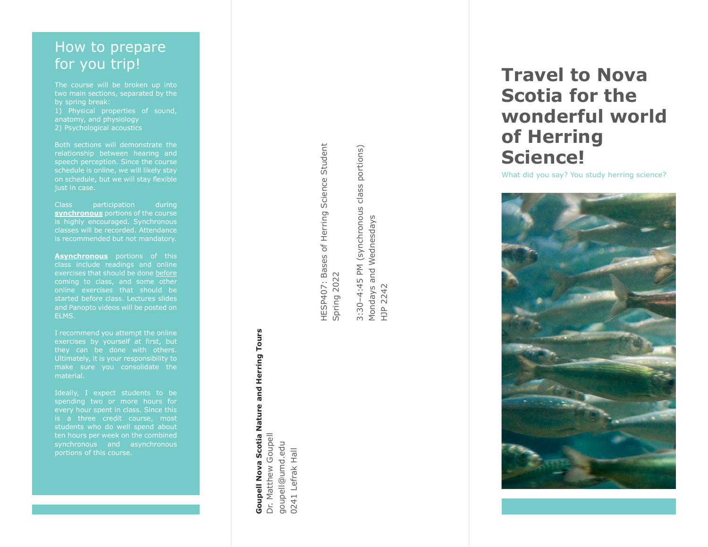# How to prepare for you trip!

The course will be broken up into two main sections, separated by the by spring break: 1) Physical properties of sound, anatomy, and physiology 2) Psychological acoustics

Both sections will demonstrate the relationship between hearing and speech perception. Since the course schedule is online, we will likely stay on schedule, but we will stay flexible just in case .

Class participation during **synchronous** portions of the course<br>is highly encouraged. Synchronous classes will be recorded. Attendance is recommended but not mandatory.

**Asynchronous** portions of this class include readings and online exercises that should be done before coming to class, and some other online exercises that should be started before class. Lectures slides and Panopto videos will be posted on ELMS.

I recommend you attempt the online they can be done with others . make sure you consolidate the material.

Ideally, I expect students to be spending two or more hours for every hour spent in class. Since this is a three credit course, most students who do well spend about ten hours per week on the combined portions of this course.

HESP407: Bases of Herring Science Student HESP407: Bases of Herring Science Student Spring 2022 Spring 2022

**Goupell Nova Scotia Nature and Herring Tours**

**Goupell Nova** 

Scotia Nature and Herring Tours

Dr. Matthew Goupell goupell@umd.edu 0241 Lefrak Hall

Dr. Matthew Goupell goupell@umd.edu 0241 Lefrak Hall 3:30-4:45 PM (synchronous class portions) 3:30–4:45 PM (synchronous class portions) Mondays and Wednesdays<br>HJP 2242 Mondays and Wednesdays HJP 2242

# **Travel to Nova Scotia for the wonderful world of Herring Science!**

What did you say? You study herring science?

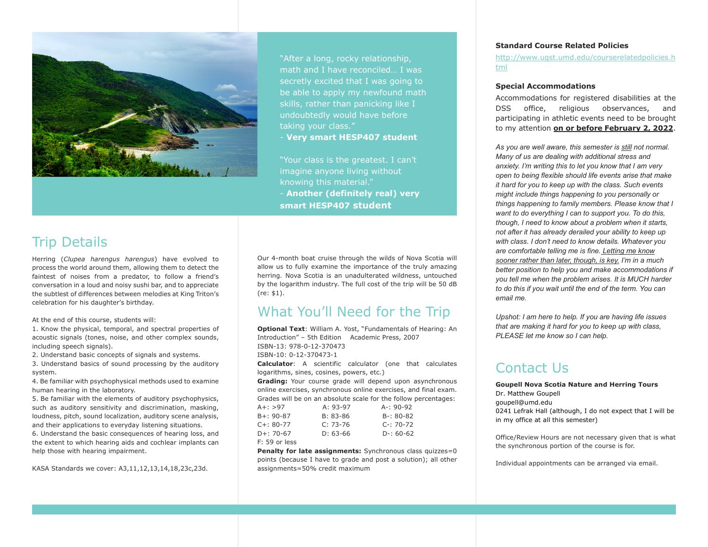

"After a long, rocky relationship, math and I have reconciled… I was secretly excited that I was going to be able to apply my newfound math skills, rather than panicking like I undoubtedly would have before

- **Very smart HESP407 student**

"Your class is the greatest. I can't imagine anyone living without knowing this material." - **Another (definitely real) very smart HESP407 student**

## Trip Details

Herring (*Clupea harengus harengus*) have evolved to process the world around them, allowing them to detect the faintest of noises from a predator, to follow a friend's conversation in a loud and noisy sushi bar, and to appreciate the subtlest of differences between melodies at King Triton's celebration for his daughter's birthday.

At the end of this course, students will:

1. Know the physical, temporal, and spectral properties of acoustic signals (tones, noise, and other complex sounds, including speech signals).

2. Understand basic concepts of signals and systems.

3. Understand basics of sound processing by the auditory system.

4. Be familiar with psychophysical methods used to examine human hearing in the laboratory.

5. Be familiar with the elements of auditory psychophysics, such as auditory sensitivity and discrimination, masking, loudness, pitch, sound localization, auditory scene analysis, and their applications to everyday listening situations.

6. Understand the basic consequences of hearing loss, and the extent to which hearing aids and cochlear implants can help those with hearing impairment.

KASA Standards we cover: A3,11,12,13,14,18,23c,23d.

Our 4-month boat cruise through the wilds of Nova Scotia will allow us to fully examine the importance of the truly amazing herring. Nova Scotia is an unadulterated wildness, untouched by the logarithm industry. The full cost of the trip will be 50 dB (re: \$1).

### What You'll Need for the Trip

**Optional Text**: William A. Yost, "Fundamentals of Hearing: An Introduction" – 5th Edition Academic Press, 2007 ISBN-13: 978-0-12-370473 ISBN-10: 0-12-370473-1 **Calculator**: A scientific calculator (one that calculates logarithms, sines, cosines, powers, etc.) **Grading:** Your course grade will depend upon asynchronous online exercises, synchronous online exercises, and final exam. Grades will be on an absolute scale for the follow percentages: A+: >97 A: 93-97 A-: 90-92

| AT. 291         | A. 93-97   | $A^-$ , 90-92 |
|-----------------|------------|---------------|
| $B + : 90 - 87$ | $B: 83-86$ | $B-: 80-82$   |
| $C_{+}$ : 80-77 | $C: 73-76$ | $C-: 70-72$   |
| $D+: 70-67$     | $D: 63-66$ | $D-: 60-62$   |
| $F: 59$ or less |            |               |

**Penalty for late assignments:** Synchronous class quizzes=0 points (because I have to grade and post a solution); all other assignments=50% credit maximum

#### **Standard Course Related Policies**

[http://www.ugst.umd.edu/courserelatedpolicies.h](http://www.ugst.umd.edu/courserelatedpolicies.html) [tml](http://www.ugst.umd.edu/courserelatedpolicies.html)

### **Special Accommodations**

Accommodations for registered disabilities at the DSS office, religious observances, and participating in athletic events need to be brought to my attention **on or before February 2, 2022**.

*As you are well aware, this semester is still not normal. Many of us are dealing with additional stress and anxiety. I'm writing this to let you know that I am very open to being flexible should life events arise that make it hard for you to keep up with the class. Such events might include things happening to you personally or things happening to family members. Please know that I want to do everything I can to support you. To do this, though, I need to know about a problem when it starts, not after it has already derailed your ability to keep up with class. I don't need to know details. Whatever you are comfortable telling me is fine. Letting me know sooner rather than later, though, is key. I'm in a much better position to help you and make accommodations if you tell me when the problem arises. It is MUCH harder to do this if you wait until the end of the term. You can email me.*

*Upshot: I am here to help. If you are having life issues that are making it hard for you to keep up with class, PLEASE let me know so I can help.*

# Contact Us

**Goupell Nova Scotia Nature and Herring Tours** Dr. Matthew Goupell goupell@umd.edu 0241 Lefrak Hall (although, I do not expect that I will be in my office at all this semester)

Office/Review Hours are not necessary given that is what the synchronous portion of the course is for.

Individual appointments can be arranged via email.